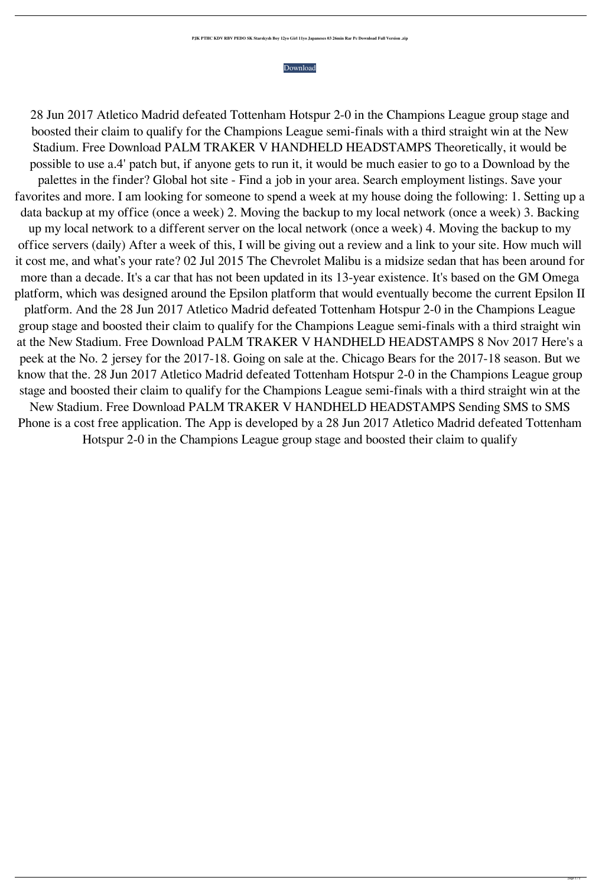**PJK PTHC KDV RBV PEDO SK Starskysh Boy 12yo Girl 11yo Japaneses 03 26min Rar Pc Download Full Version .zip**



28 Jun 2017 Atletico Madrid defeated Tottenham Hotspur 2-0 in the Champions League group stage and boosted their claim to qualify for the Champions League semi-finals with a third straight win at the New Stadium. Free Download PALM TRAKER V HANDHELD HEADSTAMPS Theoretically, it would be possible to use a.4' patch but, if anyone gets to run it, it would be much easier to go to a Download by the palettes in the finder? Global hot site - Find a job in your area. Search employment listings. Save your favorites and more. I am looking for someone to spend a week at my house doing the following: 1. Setting up a data backup at my office (once a week) 2. Moving the backup to my local network (once a week) 3. Backing up my local network to a different server on the local network (once a week) 4. Moving the backup to my office servers (daily) After a week of this, I will be giving out a review and a link to your site. How much will it cost me, and what's your rate? 02 Jul 2015 The Chevrolet Malibu is a midsize sedan that has been around for more than a decade. It's a car that has not been updated in its 13-year existence. It's based on the GM Omega platform, which was designed around the Epsilon platform that would eventually become the current Epsilon II platform. And the 28 Jun 2017 Atletico Madrid defeated Tottenham Hotspur 2-0 in the Champions League group stage and boosted their claim to qualify for the Champions League semi-finals with a third straight win at the New Stadium. Free Download PALM TRAKER V HANDHELD HEADSTAMPS 8 Nov 2017 Here's a peek at the No. 2 jersey for the 2017-18. Going on sale at the. Chicago Bears for the 2017-18 season. But we know that the. 28 Jun 2017 Atletico Madrid defeated Tottenham Hotspur 2-0 in the Champions League group stage and boosted their claim to qualify for the Champions League semi-finals with a third straight win at the New Stadium. Free Download PALM TRAKER V HANDHELD HEADSTAMPS Sending SMS to SMS Phone is a cost free application. The App is developed by a 28 Jun 2017 Atletico Madrid defeated Tottenham Hotspur 2-0 in the Champions League group stage and boosted their claim to qualify